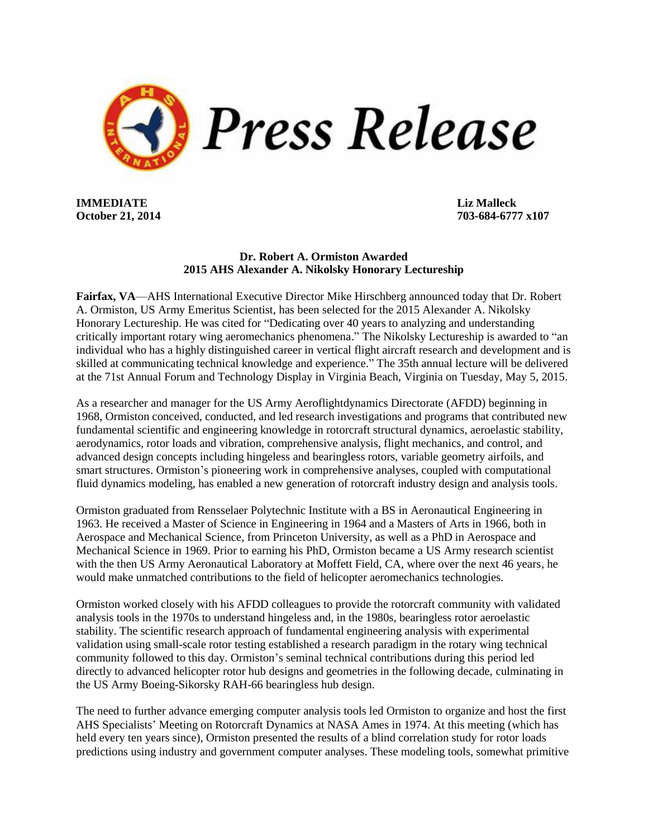

**IMMEDIATE Liz Malleck**

**October 21, 2014 703-684-6777 x107**

## **Dr. Robert A. Ormiston Awarded 2015 AHS Alexander A. Nikolsky Honorary Lectureship**

**Fairfax, VA**—AHS International Executive Director Mike Hirschberg announced today that Dr. Robert A. Ormiston, US Army Emeritus Scientist, has been selected for the 2015 Alexander A. Nikolsky Honorary Lectureship. He was cited for "Dedicating over 40 years to analyzing and understanding critically important rotary wing aeromechanics phenomena." The Nikolsky Lectureship is awarded to "an individual who has a highly distinguished career in vertical flight aircraft research and development and is skilled at communicating technical knowledge and experience." The 35th annual lecture will be delivered at the 71st Annual Forum and Technology Display in Virginia Beach, Virginia on Tuesday, May 5, 2015.

As a researcher and manager for the US Army Aeroflightdynamics Directorate (AFDD) beginning in 1968, Ormiston conceived, conducted, and led research investigations and programs that contributed new fundamental scientific and engineering knowledge in rotorcraft structural dynamics, aeroelastic stability, aerodynamics, rotor loads and vibration, comprehensive analysis, flight mechanics, and control, and advanced design concepts including hingeless and bearingless rotors, variable geometry airfoils, and smart structures. Ormiston's pioneering work in comprehensive analyses, coupled with computational fluid dynamics modeling, has enabled a new generation of rotorcraft industry design and analysis tools.

Ormiston graduated from Rensselaer Polytechnic Institute with a BS in Aeronautical Engineering in 1963. He received a Master of Science in Engineering in 1964 and a Masters of Arts in 1966, both in Aerospace and Mechanical Science, from Princeton University, as well as a PhD in Aerospace and Mechanical Science in 1969. Prior to earning his PhD, Ormiston became a US Army research scientist with the then US Army Aeronautical Laboratory at Moffett Field, CA, where over the next 46 years, he would make unmatched contributions to the field of helicopter aeromechanics technologies.

Ormiston worked closely with his AFDD colleagues to provide the rotorcraft community with validated analysis tools in the 1970s to understand hingeless and, in the 1980s, bearingless rotor aeroelastic stability. The scientific research approach of fundamental engineering analysis with experimental validation using small-scale rotor testing established a research paradigm in the rotary wing technical community followed to this day. Ormiston's seminal technical contributions during this period led directly to advanced helicopter rotor hub designs and geometries in the following decade, culminating in the US Army Boeing-Sikorsky RAH-66 bearingless hub design.

The need to further advance emerging computer analysis tools led Ormiston to organize and host the first AHS Specialists' Meeting on Rotorcraft Dynamics at NASA Ames in 1974. At this meeting (which has held every ten years since), Ormiston presented the results of a blind correlation study for rotor loads predictions using industry and government computer analyses. These modeling tools, somewhat primitive